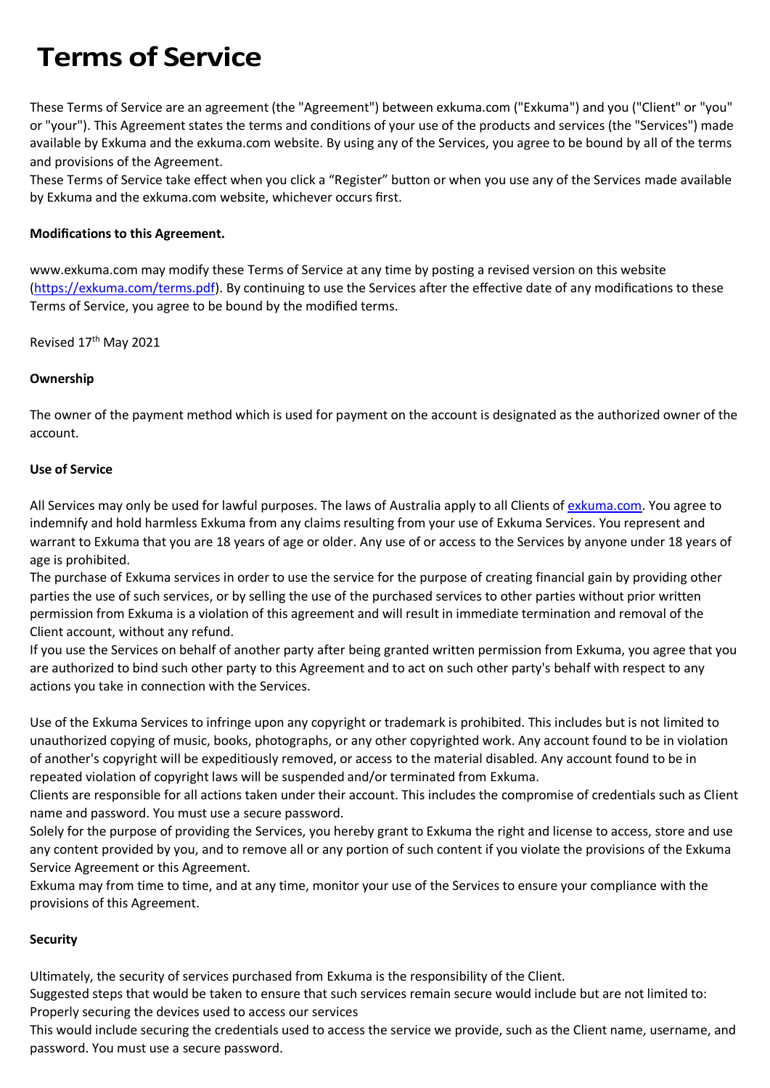# **Terms of Service**

These Terms of Service are an agreement (the "Agreement") between exkuma.com ("Exkuma") and you ("Client" or "you" or "your"). This Agreement states the terms and conditions of your use of the products and services (the "Services") made available by Exkuma and the exkuma.com website. By using any of the Services, you agree to be bound by all of the terms and provisions of the Agreement.

These Terms of Service take effect when you click a "Register" button or when you use any of the Services made available by Exkuma and the exkuma.com website, whichever occurs first.

## **Modifications to this Agreement.**

www.exkuma.com may modify these Terms of Service at any time by posting a revised version on this website [\(https://exkuma.com/terms.pdf](https://exkuma.com/terms.pdf)). By continuing to use the Services after the effective date of any modifications to these Terms of Service, you agree to be bound by the modified terms.

Revised 17<sup>th</sup> May 2021

## **Ownership**

The owner of the payment method which is used for payment on the account is designated as the authorized owner of the account.

## **Use of Service**

All Services may only be used for lawful purposes. The laws of Australia apply to all Clients of [exkuma.com.](https://exkuma.com/) You agree to indemnify and hold harmless Exkuma from any claims resulting from your use of Exkuma Services. You represent and warrant to Exkuma that you are 18 years of age or older. Any use of or access to the Services by anyone under 18 years of age is prohibited.

The purchase of Exkuma services in order to use the service for the purpose of creating financial gain by providing other parties the use of such services, or by selling the use of the purchased services to other parties without prior written permission from Exkuma is a violation of this agreement and will result in immediate termination and removal of the Client account, without any refund.

If you use the Services on behalf of another party after being granted written permission from Exkuma, you agree that you are authorized to bind such other party to this Agreement and to act on such other party's behalf with respect to any actions you take in connection with the Services.

Use of the Exkuma Services to infringe upon any copyright or trademark is prohibited. This includes but is not limited to unauthorized copying of music, books, photographs, or any other copyrighted work. Any account found to be in violation of another's copyright will be expeditiously removed, or access to the material disabled. Any account found to be in repeated violation of copyright laws will be suspended and/or terminated from Exkuma.

Clients are responsible for all actions taken under their account. This includes the compromise of credentials such as Client name and password. You must use a secure password.

Solely for the purpose of providing the Services, you hereby grant to Exkuma the right and license to access, store and use any content provided by you, and to remove all or any portion of such content if you violate the provisions of the Exkuma Service Agreement or this Agreement.

Exkuma may from time to time, and at any time, monitor your use of the Services to ensure your compliance with the provisions of this Agreement.

# **Security**

Ultimately, the security of services purchased from Exkuma is the responsibility of the Client.

Suggested steps that would be taken to ensure that such services remain secure would include but are not limited to: Properly securing the devices used to access our services

This would include securing the credentials used to access the service we provide, such as the Client name, username, and password. You must use a secure password.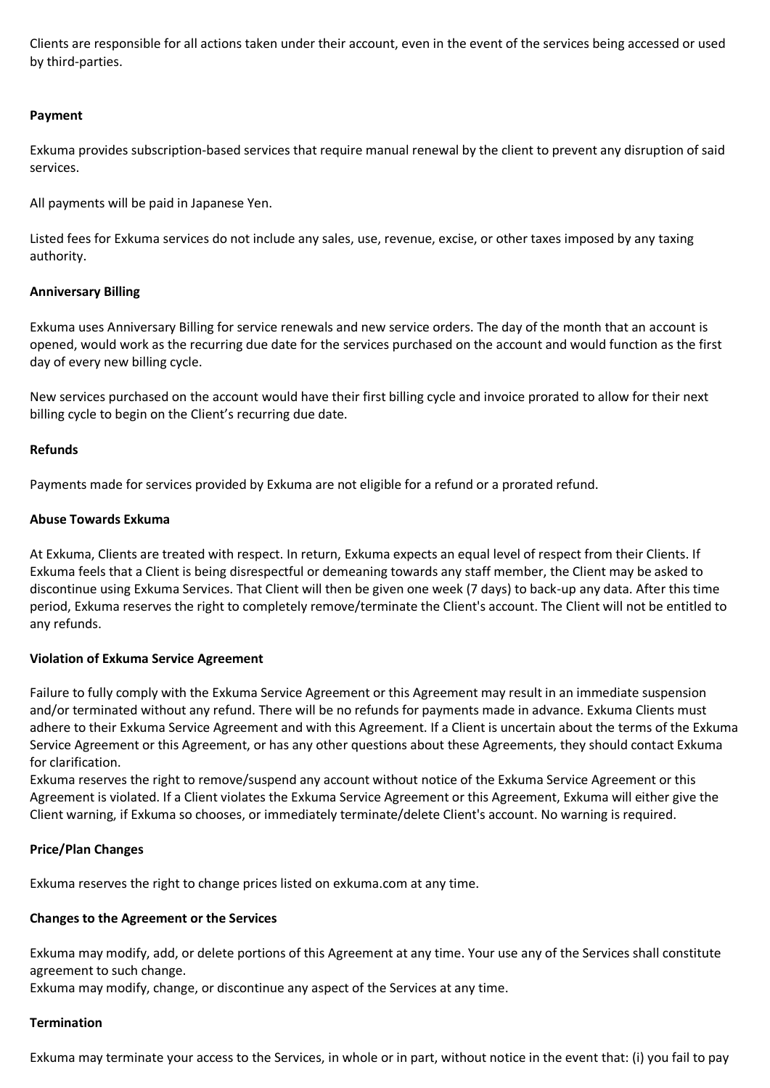Clients are responsible for all actions taken under their account, even in the event of the services being accessed or used by third-parties.

## **Payment**

Exkuma provides subscription-based services that require manual renewal by the client to prevent any disruption of said services.

All payments will be paid in Japanese Yen.

Listed fees for Exkuma services do not include any sales, use, revenue, excise, or other taxes imposed by any taxing authority.

## **Anniversary Billing**

Exkuma uses Anniversary Billing for service renewals and new service orders. The day of the month that an account is opened, would work as the recurring due date for the services purchased on the account and would function as the first day of every new billing cycle.

New services purchased on the account would have their first billing cycle and invoice prorated to allow for their next billing cycle to begin on the Client's recurring due date.

## **Refunds**

Payments made for services provided by Exkuma are not eligible for a refund or a prorated refund.

## **Abuse Towards Exkuma**

At Exkuma, Clients are treated with respect. In return, Exkuma expects an equal level of respect from their Clients. If Exkuma feels that a Client is being disrespectful or demeaning towards any staff member, the Client may be asked to discontinue using Exkuma Services. That Client will then be given one week (7 days) to back-up any data. After this time period, Exkuma reserves the right to completely remove/terminate the Client's account. The Client will not be entitled to any refunds.

# **Violation of Exkuma Service Agreement**

Failure to fully comply with the Exkuma Service Agreement or this Agreement may result in an immediate suspension and/or terminated without any refund. There will be no refunds for payments made in advance. Exkuma Clients must adhere to their Exkuma Service Agreement and with this Agreement. If a Client is uncertain about the terms of the Exkuma Service Agreement or this Agreement, or has any other questions about these Agreements, they should contact Exkuma for clarification.

Exkuma reserves the right to remove/suspend any account without notice of the Exkuma Service Agreement or this Agreement is violated. If a Client violates the Exkuma Service Agreement or this Agreement, Exkuma will either give the Client warning, if Exkuma so chooses, or immediately terminate/delete Client's account. No warning is required.

#### **Price/Plan Changes**

Exkuma reserves the right to change prices listed on exkuma.com at any time.

#### **Changes to the Agreement or the Services**

Exkuma may modify, add, or delete portions of this Agreement at any time. Your use any of the Services shall constitute agreement to such change.

Exkuma may modify, change, or discontinue any aspect of the Services at any time.

#### **Termination**

Exkuma may terminate your access to the Services, in whole or in part, without notice in the event that: (i) you fail to pay